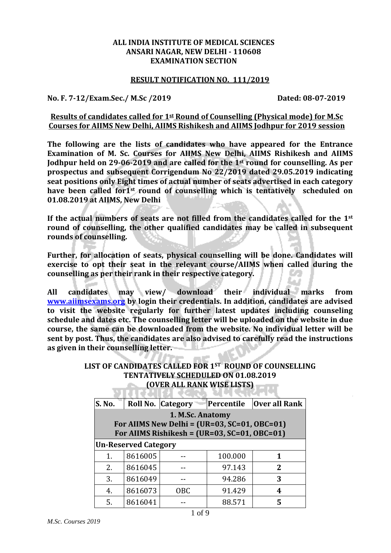#### **ALL INDIA INSTITUTE OF MEDICAL SCIENCES ANSARI NAGAR, NEW DELHI - 110608 EXAMINATION SECTION**

#### **RESULT NOTIFICATION NO. 111/2019**

**No. F. 7-12/Exam.Sec./ M.Sc /2019 Dated: 08-07-2019**

## **Results of candidates called for 1st Round of Counselling (Physical mode) for M.Sc Courses for AIIMS New Delhi, AIIMS Rishikesh and AIIMS Jodhpur for 2019 session**

**The following are the lists of candidates who have appeared for the Entrance Examination of M. Sc. Courses for AIIMS New Delhi, AIIMS Rishikesh and AIIMS Jodhpur held on 29-06-2019 and are called for the 1st round for counselling. As per prospectus and subsequent Corrigendum No 22/2019 dated 29.05.2019 indicating seat positions only Eight times of actual number of seats advertised in each category have been called for1st round of counselling which is tentatively scheduled on 01.08.2019 at AIIMS, New Delhi**

**If the actual numbers of seats are not filled from the candidates called for the 1st round of counselling, the other qualified candidates may be called in subsequent rounds of counselling.** 

**Further, for allocation of seats, physical counselling will be done. Candidates will exercise to opt their seat in the relevant course/AIIMS when called during the counselling as per their rank in their respective category.** 

**All candidates may view/ download their individual marks from [www.aiimsexams.org](http://www.aiimsexams.org/) by login their credentials. In addition, candidates are advised to visit the website regularly for further latest updates including counseling schedule and dates etc. The counselling letter will be uploaded on the website in due course, the same can be downloaded from the website. No individual letter will be sent by post. Thus, the candidates are also advised to carefully read the instructions as given in their counselling letter.** 

## **LIST OF CANDIDATES CALLED FOR 1ST ROUND OF COUNSELLING TENTATIVELY SCHEDULED ON 01.08.2019 (OVER ALL RANK WISE LISTS)**

| S. No.         |                                                | Roll No. Category                              | Percentile | Over all Rank |  |  |  |
|----------------|------------------------------------------------|------------------------------------------------|------------|---------------|--|--|--|
|                | 1. M.Sc. Anatomy                               |                                                |            |               |  |  |  |
|                | For AIIMS New Delhi = $(UR=03, SC=01, OBC=01)$ |                                                |            |               |  |  |  |
|                |                                                | For AIIMS Rishikesh = $(UR=03, SC=01, OBC=01)$ |            |               |  |  |  |
|                | <b>Un-Reserved Category</b>                    |                                                |            |               |  |  |  |
| $\mathbf{1}$ . | 8616005                                        |                                                | 100.000    |               |  |  |  |
| 2.             | 8616045                                        |                                                | 97.143     | $\mathbf{Z}$  |  |  |  |
| 3.             | 8616049                                        |                                                | 94.286     | 3             |  |  |  |
| 4.             | 8616073                                        | <b>OBC</b>                                     | 91.429     | 4             |  |  |  |
| 5.             | 8616041                                        |                                                | 88.571     |               |  |  |  |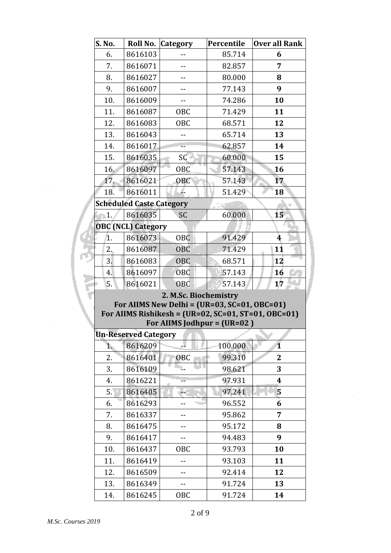| S. No.                                                                                 | Roll No.                        | <b>Category</b> | Percentile | <b>Over all Rank</b>    |  |  |  |
|----------------------------------------------------------------------------------------|---------------------------------|-----------------|------------|-------------------------|--|--|--|
| 6.                                                                                     | 8616103                         |                 | 85.714     | 6                       |  |  |  |
| 7.                                                                                     | 8616071                         |                 | 82.857     | 7                       |  |  |  |
| 8.                                                                                     | 8616027                         |                 | 80.000     | 8                       |  |  |  |
| 9.                                                                                     | 8616007                         |                 | 77.143     | 9                       |  |  |  |
| 10.                                                                                    | 8616009                         | --              | 74.286     | 10                      |  |  |  |
| 11.                                                                                    | 8616087                         | OBC             | 71.429     | 11                      |  |  |  |
| 12.                                                                                    | 8616083                         | OBC             | 68.571     | 12                      |  |  |  |
| 13.                                                                                    | 8616043                         |                 | 65.714     | 13                      |  |  |  |
| 14.                                                                                    | 8616017                         |                 | 62.857     | 14                      |  |  |  |
| 15.                                                                                    | 8616035                         | SC              | 60.000     | 15                      |  |  |  |
| 16.                                                                                    | 8616097                         | OBC             | 57.143     | 16                      |  |  |  |
| 17.                                                                                    | 8616021                         | OBC             | 57.143     | 17                      |  |  |  |
| 18.                                                                                    | 8616011                         |                 | 51.429     | 18                      |  |  |  |
|                                                                                        | <b>Scheduled Caste Category</b> |                 |            |                         |  |  |  |
| 1.                                                                                     | 8616035                         | <b>SC</b>       | 60.000     | 15                      |  |  |  |
|                                                                                        | <b>OBC</b> (NCL) Category       |                 |            |                         |  |  |  |
| 1.                                                                                     | 8616073                         | OBC             | 91.429     | 4                       |  |  |  |
| 2.                                                                                     | 8616087                         | <b>OBC</b>      | 71.429     | 11                      |  |  |  |
| 3.                                                                                     | 8616083                         | <b>OBC</b>      | 68.571     | 12                      |  |  |  |
| 4.                                                                                     | 8616097                         | OBC             | 57.143     | 16                      |  |  |  |
| 5.                                                                                     | 8616021                         | <b>OBC</b>      | 57.143     | 17                      |  |  |  |
| 2. M.Sc. Biochemistry                                                                  |                                 |                 |            |                         |  |  |  |
| For AIIMS New Delhi = $(UR=03, SC=01, OBC=01)$                                         |                                 |                 |            |                         |  |  |  |
| For AIIMS Rishikesh = $(UR=02, SC=01, ST=01, OBC=01)$<br>For AIIMS Jodhpur = $(UR=02)$ |                                 |                 |            |                         |  |  |  |
|                                                                                        | <b>Un-Reserved Category</b>     |                 |            |                         |  |  |  |
| 1.                                                                                     | 8616209                         |                 | 100.000    | $\overline{\mathbf{1}}$ |  |  |  |
| 2.                                                                                     | 8616401                         | <b>OBC</b>      | 99.310     | $\mathbf{2}$            |  |  |  |
| 3.                                                                                     | 8616109                         |                 | 98.621     | 3                       |  |  |  |
| 4.                                                                                     | 8616221                         |                 | 97.931     | $\boldsymbol{4}$        |  |  |  |
| 5.                                                                                     | 8616405                         |                 | 97.241     | 5                       |  |  |  |
| 6.                                                                                     | 8616293                         |                 | 96.552     | 6                       |  |  |  |
| 7.                                                                                     | 8616337                         |                 | 95.862     | 7                       |  |  |  |
| 8.                                                                                     | 8616475                         | $- -$           | 95.172     | 8                       |  |  |  |
| 9.                                                                                     | 8616417                         |                 | 94.483     | 9                       |  |  |  |
| 10.                                                                                    | 8616437                         | OBC             | 93.793     | 10                      |  |  |  |
| 11.                                                                                    | 8616419                         |                 | 93.103     | 11                      |  |  |  |
| 12.                                                                                    | 8616509                         |                 | 92.414     | 12                      |  |  |  |
| 13.                                                                                    | 8616349                         | --              | 91.724     | 13                      |  |  |  |
| 14.                                                                                    | 8616245                         | OBC             | 91.724     | 14                      |  |  |  |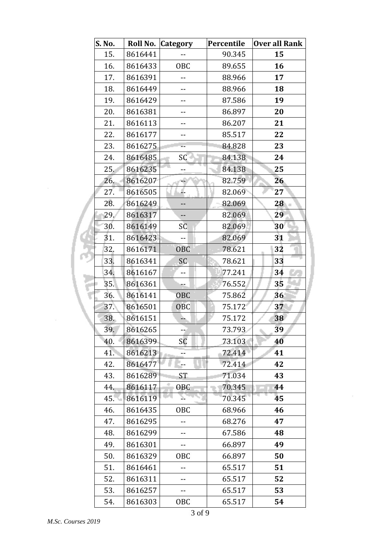| S. No. |         | Roll No. Category | Percentile | Over all Rank |
|--------|---------|-------------------|------------|---------------|
| 15.    | 8616441 |                   | 90.345     | 15            |
| 16.    | 8616433 | OBC               | 89.655     | 16            |
| 17.    | 8616391 |                   | 88.966     | 17            |
| 18.    | 8616449 |                   | 88.966     | 18            |
| 19.    | 8616429 | $-$               | 87.586     | 19            |
| 20.    | 8616381 |                   | 86.897     | 20            |
| 21.    | 8616113 |                   | 86.207     | 21            |
| 22.    | 8616177 |                   | 85.517     | 22            |
| 23.    | 8616275 |                   | 84.828     | 23            |
| 24.    | 8616485 | SC                | 84.138     | 24            |
| 25.    | 8616235 |                   | 84.138     | 25            |
| 26.    | 8616207 |                   | 82.759     | 26            |
| 27.    | 8616505 |                   | 82.069     | 27            |
| 28.    | 8616249 |                   | 82.069     | 28            |
| 29.    | 8616317 | $-$               | 82.069     | 29            |
| 30.    | 8616149 | SC                | 82.069     | 30            |
| 31.    | 8616423 |                   | 82.069     | 31            |
| 32.    | 8616171 | <b>OBC</b>        | 78.621     | 32            |
| 33.    | 8616341 | SC.               | 78.621     | 33            |
| 34.    | 8616167 | $-$               | 77.241     | 34            |
| 35.    | 8616361 |                   | 76.552     | 35            |
| 36.    | 8616141 | <b>OBC</b>        | 75.862     | 36            |
| 37.    | 8616501 | <b>OBC</b>        | 75.172     | 37            |
| 38.    | 8616151 | à.                | 75.172     | 38            |
| 39.    | 8616265 |                   | 73.793     | 39            |
| 40.    | 8616399 | SC                | 73.103     | 40            |
| 41.    | 8616213 |                   | 72.414     | 41            |
| 42.    | 8616477 | --                | 72.414     | 42            |
| 43.    | 8616289 | ST                | 71.034     | 43            |
| 44.    | 8616117 | <b>OBC</b>        | 70.345     | 44            |
| 45.    | 8616119 |                   | 70.345     | 45            |
| 46.    | 8616435 | OBC               | 68.966     | 46            |
| 47.    | 8616295 |                   | 68.276     | 47            |
| 48.    | 8616299 |                   | 67.586     | 48            |
| 49.    | 8616301 |                   | 66.897     | 49            |
| 50.    | 8616329 | OBC               | 66.897     | 50            |
| 51.    | 8616461 |                   | 65.517     | 51            |
| 52.    | 8616311 |                   | 65.517     | 52            |
| 53.    | 8616257 | $- -$             | 65.517     | 53            |
| 54.    | 8616303 | OBC               | 65.517     | 54            |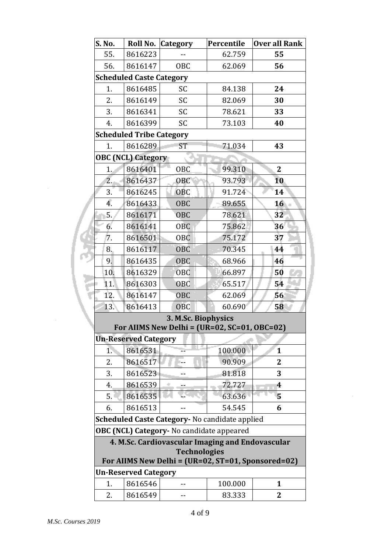| S. No.                                                                    |                                 | Roll No. Category                                | Percentile | <b>Over all Rank</b> |  |
|---------------------------------------------------------------------------|---------------------------------|--------------------------------------------------|------------|----------------------|--|
| 55.                                                                       | 8616223                         |                                                  | 62.759     | 55                   |  |
| 56.                                                                       | 8616147                         | OBC                                              | 62.069     | 56                   |  |
|                                                                           | <b>Scheduled Caste Category</b> |                                                  |            |                      |  |
| 1.                                                                        | 8616485                         | SC                                               | 84.138     | 24                   |  |
| 2.                                                                        | 8616149                         | SC                                               | 82.069     | 30                   |  |
| 3.                                                                        | 8616341                         | SC                                               | 78.621     | 33                   |  |
| 4.                                                                        | 8616399                         | SC                                               | 73.103     | 40                   |  |
| <b>Scheduled Tribe Category</b>                                           |                                 |                                                  |            |                      |  |
| 1.                                                                        | 8616289                         | <b>ST</b>                                        | 71.034     | 43                   |  |
|                                                                           | <b>OBC (NCL) Category</b>       |                                                  |            |                      |  |
| 1.                                                                        | 8616401                         | <b>OBC</b>                                       | 99.310     | $\overline{2}$       |  |
| 2.                                                                        | 8616437                         | OBC                                              | 93.793     | 10                   |  |
| 3.                                                                        | 8616245                         | <b>OBC</b>                                       | 91.724     | 14                   |  |
| 4.                                                                        | 8616433                         | <b>OBC</b>                                       | 89.655     | 16                   |  |
| 5.                                                                        | 8616171                         | <b>OBC</b>                                       | 78.621     | 32                   |  |
| 6.                                                                        | 8616141                         | <b>OBC</b>                                       | 75.862     | 36                   |  |
| 7.                                                                        | 8616501                         | 0 <sub>B</sub> C                                 | 75.172     | 37                   |  |
| 8.                                                                        | 8616117                         | <b>OBC</b>                                       | 70.345     | 44                   |  |
| 9.                                                                        | 8616435                         | <b>OBC</b>                                       | 68.966     | 46                   |  |
| 10.                                                                       | 8616329                         | <b>OBC</b>                                       | 66.897     | 50                   |  |
| 11.                                                                       | 8616303                         | OBC                                              | 65.517     | 54                   |  |
| 12.                                                                       | 8616147                         | <b>OBC</b>                                       | 62.069     | 56                   |  |
| 13.                                                                       | 8616413                         | OBC                                              | 60.690     | 58                   |  |
| 3. M.Sc. Biophysics                                                       |                                 |                                                  |            |                      |  |
| For AIIMS New Delhi = $(UR=02, SC=01, OBC=02)$                            |                                 |                                                  |            |                      |  |
|                                                                           | <b>Un-Reserved Category</b>     |                                                  |            |                      |  |
| 1.                                                                        | 8616531                         |                                                  | 100.000    | $\mathbf{1}$         |  |
| 2.                                                                        | 8616517                         |                                                  | 90.909     | 2                    |  |
| 3.                                                                        | 8616523                         |                                                  | 81.818     | 3                    |  |
| 4.                                                                        | 8616539                         |                                                  | 72.727     | 4                    |  |
| 5.                                                                        | 8616535                         |                                                  | 63.636     | 5                    |  |
| 6.                                                                        | 8616513                         |                                                  | 54.545     | 6                    |  |
|                                                                           |                                 | Scheduled Caste Category- No candidate applied   |            |                      |  |
|                                                                           |                                 | OBC (NCL) Category- No candidate appeared        |            |                      |  |
|                                                                           |                                 | 4. M.Sc. Cardiovascular Imaging and Endovascular |            |                      |  |
| <b>Technologies</b><br>For AIIMS New Delhi = (UR=02, ST=01, Sponsored=02) |                                 |                                                  |            |                      |  |
|                                                                           | <b>Un-Reserved Category</b>     |                                                  |            |                      |  |
| 1.                                                                        | 8616546                         |                                                  | 100.000    | $\mathbf{1}$         |  |
| 2.                                                                        | 8616549                         |                                                  | 83.333     | 2                    |  |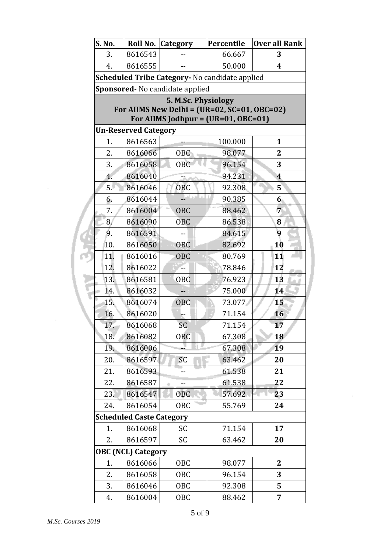| S. No.                                         |                                                                                         | Roll No. Category | Percentile | <b>Over all Rank</b>    |  |  |  |
|------------------------------------------------|-----------------------------------------------------------------------------------------|-------------------|------------|-------------------------|--|--|--|
| 3.                                             | 8616543                                                                                 |                   | 66.667     | 3                       |  |  |  |
| 4.                                             | 8616555                                                                                 | $-$               | 50.000     | 4                       |  |  |  |
| Scheduled Tribe Category- No candidate applied |                                                                                         |                   |            |                         |  |  |  |
|                                                | Sponsored- No candidate applied                                                         |                   |            |                         |  |  |  |
|                                                | 5. M.Sc. Physiology                                                                     |                   |            |                         |  |  |  |
|                                                | For AIIMS New Delhi = $(UR=02, SC=01, OBC=02)$<br>For AIIMS Jodhpur = $(UR=01, OBC=01)$ |                   |            |                         |  |  |  |
|                                                | <b>Un-Reserved Category</b>                                                             |                   |            |                         |  |  |  |
| 1.                                             | 8616563                                                                                 |                   | 100.000    | $\mathbf{1}$            |  |  |  |
| 2.                                             | 8616066                                                                                 | OBC               | 98.077     | $\mathbf 2$             |  |  |  |
| 3.                                             | 8616058                                                                                 | <b>OBC</b>        | 96.154     | 3                       |  |  |  |
| 4.                                             | 8616040                                                                                 |                   | 94.231     | $\overline{\mathbf{4}}$ |  |  |  |
| 5.                                             | 8616046                                                                                 | <b>OBC</b>        | 92.308     | 5                       |  |  |  |
| 6.                                             | 8616044                                                                                 |                   | 90.385     | 6 <sub>1</sub>          |  |  |  |
| 7.                                             | 8616004                                                                                 | <b>OBC</b>        | 88.462     | 7                       |  |  |  |
| 8.                                             | 8616090                                                                                 | OBC               | 86.538     | 8                       |  |  |  |
| 9.                                             | 8616591                                                                                 |                   | 84.615     | 9                       |  |  |  |
| 10.                                            | 8616050                                                                                 | 0BC               | 82.692     | 10                      |  |  |  |
| 11.                                            | 8616016                                                                                 | <b>OBC</b>        | 80.769     | 11                      |  |  |  |
| 12.                                            | 8616022                                                                                 |                   | 78.846     | 12                      |  |  |  |
| 13.                                            | 8616581                                                                                 | <b>OBC</b>        | 76.923     | 13                      |  |  |  |
| 14.                                            | 8616032                                                                                 |                   | 75.000     | 14                      |  |  |  |
| 15.                                            | 8616074                                                                                 | OBC               | 73.077     | 15                      |  |  |  |
| 16.                                            | 8616020                                                                                 |                   | 71.154     | 16                      |  |  |  |
| 17.                                            | 8616068                                                                                 | SC                | 71.154     | 17                      |  |  |  |
| 18.                                            | 8616082                                                                                 | <b>OBC</b>        | 67.308     | 18                      |  |  |  |
| 19.                                            | 8616006                                                                                 |                   | 67.308     | 19                      |  |  |  |
| 20.                                            | 8616597                                                                                 | SC                | 63.462     | 20                      |  |  |  |
| 21.                                            | 8616593                                                                                 |                   | 61.538     | 21                      |  |  |  |
| 22.                                            | 8616587                                                                                 | $-$               | 61.538     | 22                      |  |  |  |
| 23.                                            | 8616547                                                                                 | <b>OBC</b>        | 57.692     | 23                      |  |  |  |
| 24.                                            | 8616054                                                                                 | OBC               | 55.769     | 24                      |  |  |  |
|                                                | <b>Scheduled Caste Category</b>                                                         |                   |            |                         |  |  |  |
| 1.                                             | 8616068                                                                                 | SC                | 71.154     | 17                      |  |  |  |
| 2.                                             | 8616597                                                                                 | SC                | 63.462     | 20                      |  |  |  |
|                                                | <b>OBC (NCL) Category</b>                                                               |                   |            |                         |  |  |  |
| 1.                                             | 8616066                                                                                 | 0 <sub>BC</sub>   | 98.077     | $\mathbf{2}$            |  |  |  |
| 2.                                             | 8616058                                                                                 | 0 <sub>BC</sub>   | 96.154     | 3                       |  |  |  |
| 3.                                             | 8616046                                                                                 | OBC               | 92.308     | 5                       |  |  |  |
| 4.                                             | 8616004                                                                                 | <b>OBC</b>        | 88.462     | 7                       |  |  |  |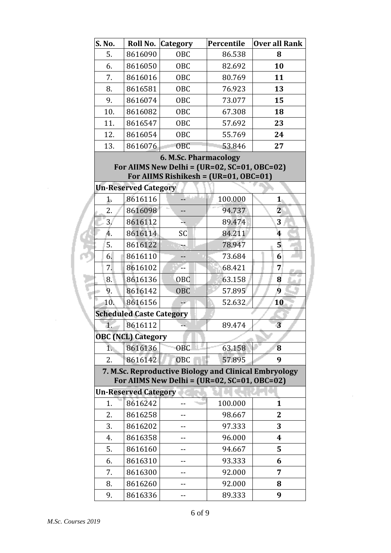| S. No.               | Roll No.                             | <b>Category</b>                                                                                         | Percentile | <b>Over all Rank</b>           |
|----------------------|--------------------------------------|---------------------------------------------------------------------------------------------------------|------------|--------------------------------|
| 5.                   | 8616090                              | <b>OBC</b>                                                                                              | 86.538     | 8                              |
| 6.                   | 8616050                              | OBC                                                                                                     | 82.692     | 10                             |
| 7.                   | 8616016                              | OBC                                                                                                     | 80.769     | 11                             |
| 8.                   | 8616581                              | <b>OBC</b>                                                                                              | 76.923     | 13                             |
| 9.                   | 8616074                              | OBC                                                                                                     | 73.077     | 15                             |
| 10.                  | 8616082                              | OBC                                                                                                     | 67.308     | 18                             |
| 11.                  | 8616547                              | <b>OBC</b>                                                                                              | 57.692     | 23                             |
| 12.                  | 8616054                              | OBC                                                                                                     | 55.769     | 24                             |
| 13.                  | 8616076                              | <b>OBC</b>                                                                                              | 53.846     | 27                             |
|                      |                                      | <b>6. M.Sc. Pharmacology</b>                                                                            |            |                                |
|                      |                                      | For AIIMS New Delhi = $(UR=02, SC=01, OBC=02)$                                                          |            |                                |
|                      |                                      | For AIIMS Rishikesh = $(UR=01, OBC=01)$                                                                 |            |                                |
|                      | <b>Un-Reserved Category</b>          |                                                                                                         |            |                                |
| $\mathbf{1}$         | 8616116                              |                                                                                                         | 100.000    | $\mathbf{1}$<br>$\overline{2}$ |
| 2.<br>3 <sub>l</sub> | 8616098                              |                                                                                                         | 94.737     |                                |
| 4.                   | 8616112                              |                                                                                                         | 89.474     | 3                              |
|                      | 8616114                              | SC                                                                                                      | 84.211     | 4<br>5                         |
| 5.                   | 8616122                              |                                                                                                         | 78.947     |                                |
| 6.<br>7.             | 8616110                              |                                                                                                         | 73.684     | 6                              |
|                      | 8616102                              |                                                                                                         | 68.421     | 7                              |
| 8.                   | 8616136                              | OBC                                                                                                     | 63.158     | 8<br>9                         |
| 9.                   | 8616142                              | OBC                                                                                                     | 57.895     |                                |
| 10.                  | 8616156                              |                                                                                                         | 52.632     | 10                             |
| 1.                   | <b>Scheduled Caste Category</b>      |                                                                                                         | 89.474     | 3                              |
|                      | 8616112                              |                                                                                                         |            |                                |
| $\overline{1}$ .     | <b>OBC (NCL) Category</b><br>8616136 | <b>OBC</b>                                                                                              | 63.158     | 8                              |
|                      |                                      |                                                                                                         |            | 9                              |
| 2.                   | 8616142                              | OBC                                                                                                     | 57.895     |                                |
|                      |                                      | 7. M.Sc. Reproductive Biology and Clinical Embryology<br>For AIIMS New Delhi = $(UR=02, SC=01, OBC=02)$ |            |                                |
|                      | <b>Un-Reserved Category</b>          |                                                                                                         |            |                                |
| 1.                   | 8616242                              |                                                                                                         | 100.000    | $\mathbf{1}$                   |
| 2.                   | 8616258                              |                                                                                                         | 98.667     | 2                              |
| 3.                   | 8616202                              |                                                                                                         | 97.333     | 3                              |
| 4.                   | 8616358                              |                                                                                                         | 96.000     | $\boldsymbol{4}$               |
| 5.                   | 8616160                              |                                                                                                         | 94.667     | 5                              |
| 6.                   | 8616310                              |                                                                                                         | 93.333     | 6                              |
| 7.                   | 8616300                              |                                                                                                         | 92.000     | 7                              |
| 8.                   | 8616260                              |                                                                                                         | 92.000     | 8                              |
| 9.                   | 8616336                              |                                                                                                         | 89.333     | 9                              |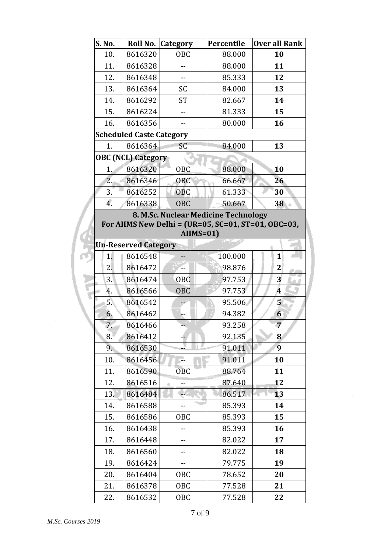| 10.<br>8616320<br><b>OBC</b><br>88.000<br>10<br>11.<br>8616328<br>88.000<br>11<br>85.333<br>12.<br>8616348<br>12<br>$-$<br>13.<br>13<br>8616364<br>SC<br>84.000<br>14.<br>8616292<br><b>ST</b><br>82.667<br>14<br>15.<br>81.333<br>15<br>8616224<br>$\overline{\phantom{a}}$<br>16<br>16.<br>8616356<br>80.000<br><b>Scheduled Caste Category</b><br>8616364<br><b>SC</b><br>84.000<br>13<br>1.<br><b>OBC (NCL) Category</b><br>8616320<br>88.000<br><b>OBC</b><br>1.<br>10<br>2.<br>8616346<br>OBC<br>66.667<br>26<br>30<br>3.<br>8616252<br><b>OBC</b><br>61.333<br>4.<br>8616338<br><b>OBC</b><br>50.667<br>38<br>8. M.Sc. Nuclear Medicine Technology<br>For AIIMS New Delhi = (UR=05, SC=01, ST=01, OBC=03,<br>$AIIMS = 01$<br><b>Un-Reserved Category</b><br>8616548<br>1.<br>100.000<br>$\mathbf{1}$<br>2.<br>8616472<br>98.876<br>$\mathbf 2$<br>OBC<br>$\overline{\mathbf{3}}$<br>3.<br>8616474<br>97.753<br>$\overline{\mathbf{4}}$<br>8616566<br><b>OBC</b><br>97.753<br>4.<br>5.<br>8616542<br>95.506<br>5 <sup>1</sup><br>44<br>6.<br>8616462<br>94.382<br>6<br>$\overline{7}$<br>7.<br>93.258<br>8616466<br>92.135<br>8616412<br>8.<br>8<br>9<br>9.<br>8616530<br>91.011<br>8616456<br>91.011<br>10.<br>10<br>11.<br>88.764<br>8616590<br>11<br><b>OBC</b><br>8616516<br>12.<br>87.640<br>12<br>13.<br>86.517<br>8616484<br>13<br>14.<br>8616588<br>85.393<br>14<br>15.<br>8616586<br>OBC<br>85.393<br>15<br>8616438<br>85.393<br>16.<br>16<br>17.<br>8616448<br>82.022<br>17<br>8616560<br>18.<br>82.022<br>18<br>--<br>19.<br>8616424<br>79.775<br>19<br>--<br>78.652<br>20.<br>8616404<br>OBC<br>20<br>77.528<br>21.<br>8616378<br>OBC<br>21 | S. No. |         | Roll No. Category | Percentile | <b>Over all Rank</b> |  |  |  |  |
|---------------------------------------------------------------------------------------------------------------------------------------------------------------------------------------------------------------------------------------------------------------------------------------------------------------------------------------------------------------------------------------------------------------------------------------------------------------------------------------------------------------------------------------------------------------------------------------------------------------------------------------------------------------------------------------------------------------------------------------------------------------------------------------------------------------------------------------------------------------------------------------------------------------------------------------------------------------------------------------------------------------------------------------------------------------------------------------------------------------------------------------------------------------------------------------------------------------------------------------------------------------------------------------------------------------------------------------------------------------------------------------------------------------------------------------------------------------------------------------------------------------------------------------------------------------------------------------------------------------------------------------------------------------|--------|---------|-------------------|------------|----------------------|--|--|--|--|
|                                                                                                                                                                                                                                                                                                                                                                                                                                                                                                                                                                                                                                                                                                                                                                                                                                                                                                                                                                                                                                                                                                                                                                                                                                                                                                                                                                                                                                                                                                                                                                                                                                                               |        |         |                   |            |                      |  |  |  |  |
|                                                                                                                                                                                                                                                                                                                                                                                                                                                                                                                                                                                                                                                                                                                                                                                                                                                                                                                                                                                                                                                                                                                                                                                                                                                                                                                                                                                                                                                                                                                                                                                                                                                               |        |         |                   |            |                      |  |  |  |  |
|                                                                                                                                                                                                                                                                                                                                                                                                                                                                                                                                                                                                                                                                                                                                                                                                                                                                                                                                                                                                                                                                                                                                                                                                                                                                                                                                                                                                                                                                                                                                                                                                                                                               |        |         |                   |            |                      |  |  |  |  |
|                                                                                                                                                                                                                                                                                                                                                                                                                                                                                                                                                                                                                                                                                                                                                                                                                                                                                                                                                                                                                                                                                                                                                                                                                                                                                                                                                                                                                                                                                                                                                                                                                                                               |        |         |                   |            |                      |  |  |  |  |
|                                                                                                                                                                                                                                                                                                                                                                                                                                                                                                                                                                                                                                                                                                                                                                                                                                                                                                                                                                                                                                                                                                                                                                                                                                                                                                                                                                                                                                                                                                                                                                                                                                                               |        |         |                   |            |                      |  |  |  |  |
|                                                                                                                                                                                                                                                                                                                                                                                                                                                                                                                                                                                                                                                                                                                                                                                                                                                                                                                                                                                                                                                                                                                                                                                                                                                                                                                                                                                                                                                                                                                                                                                                                                                               |        |         |                   |            |                      |  |  |  |  |
|                                                                                                                                                                                                                                                                                                                                                                                                                                                                                                                                                                                                                                                                                                                                                                                                                                                                                                                                                                                                                                                                                                                                                                                                                                                                                                                                                                                                                                                                                                                                                                                                                                                               |        |         |                   |            |                      |  |  |  |  |
|                                                                                                                                                                                                                                                                                                                                                                                                                                                                                                                                                                                                                                                                                                                                                                                                                                                                                                                                                                                                                                                                                                                                                                                                                                                                                                                                                                                                                                                                                                                                                                                                                                                               |        |         |                   |            |                      |  |  |  |  |
|                                                                                                                                                                                                                                                                                                                                                                                                                                                                                                                                                                                                                                                                                                                                                                                                                                                                                                                                                                                                                                                                                                                                                                                                                                                                                                                                                                                                                                                                                                                                                                                                                                                               |        |         |                   |            |                      |  |  |  |  |
|                                                                                                                                                                                                                                                                                                                                                                                                                                                                                                                                                                                                                                                                                                                                                                                                                                                                                                                                                                                                                                                                                                                                                                                                                                                                                                                                                                                                                                                                                                                                                                                                                                                               |        |         |                   |            |                      |  |  |  |  |
|                                                                                                                                                                                                                                                                                                                                                                                                                                                                                                                                                                                                                                                                                                                                                                                                                                                                                                                                                                                                                                                                                                                                                                                                                                                                                                                                                                                                                                                                                                                                                                                                                                                               |        |         |                   |            |                      |  |  |  |  |
|                                                                                                                                                                                                                                                                                                                                                                                                                                                                                                                                                                                                                                                                                                                                                                                                                                                                                                                                                                                                                                                                                                                                                                                                                                                                                                                                                                                                                                                                                                                                                                                                                                                               |        |         |                   |            |                      |  |  |  |  |
|                                                                                                                                                                                                                                                                                                                                                                                                                                                                                                                                                                                                                                                                                                                                                                                                                                                                                                                                                                                                                                                                                                                                                                                                                                                                                                                                                                                                                                                                                                                                                                                                                                                               |        |         |                   |            |                      |  |  |  |  |
|                                                                                                                                                                                                                                                                                                                                                                                                                                                                                                                                                                                                                                                                                                                                                                                                                                                                                                                                                                                                                                                                                                                                                                                                                                                                                                                                                                                                                                                                                                                                                                                                                                                               |        |         |                   |            |                      |  |  |  |  |
|                                                                                                                                                                                                                                                                                                                                                                                                                                                                                                                                                                                                                                                                                                                                                                                                                                                                                                                                                                                                                                                                                                                                                                                                                                                                                                                                                                                                                                                                                                                                                                                                                                                               |        |         |                   |            |                      |  |  |  |  |
|                                                                                                                                                                                                                                                                                                                                                                                                                                                                                                                                                                                                                                                                                                                                                                                                                                                                                                                                                                                                                                                                                                                                                                                                                                                                                                                                                                                                                                                                                                                                                                                                                                                               |        |         |                   |            |                      |  |  |  |  |
|                                                                                                                                                                                                                                                                                                                                                                                                                                                                                                                                                                                                                                                                                                                                                                                                                                                                                                                                                                                                                                                                                                                                                                                                                                                                                                                                                                                                                                                                                                                                                                                                                                                               |        |         |                   |            |                      |  |  |  |  |
|                                                                                                                                                                                                                                                                                                                                                                                                                                                                                                                                                                                                                                                                                                                                                                                                                                                                                                                                                                                                                                                                                                                                                                                                                                                                                                                                                                                                                                                                                                                                                                                                                                                               |        |         |                   |            |                      |  |  |  |  |
|                                                                                                                                                                                                                                                                                                                                                                                                                                                                                                                                                                                                                                                                                                                                                                                                                                                                                                                                                                                                                                                                                                                                                                                                                                                                                                                                                                                                                                                                                                                                                                                                                                                               |        |         |                   |            |                      |  |  |  |  |
|                                                                                                                                                                                                                                                                                                                                                                                                                                                                                                                                                                                                                                                                                                                                                                                                                                                                                                                                                                                                                                                                                                                                                                                                                                                                                                                                                                                                                                                                                                                                                                                                                                                               |        |         |                   |            |                      |  |  |  |  |
|                                                                                                                                                                                                                                                                                                                                                                                                                                                                                                                                                                                                                                                                                                                                                                                                                                                                                                                                                                                                                                                                                                                                                                                                                                                                                                                                                                                                                                                                                                                                                                                                                                                               |        |         |                   |            |                      |  |  |  |  |
|                                                                                                                                                                                                                                                                                                                                                                                                                                                                                                                                                                                                                                                                                                                                                                                                                                                                                                                                                                                                                                                                                                                                                                                                                                                                                                                                                                                                                                                                                                                                                                                                                                                               |        |         |                   |            |                      |  |  |  |  |
|                                                                                                                                                                                                                                                                                                                                                                                                                                                                                                                                                                                                                                                                                                                                                                                                                                                                                                                                                                                                                                                                                                                                                                                                                                                                                                                                                                                                                                                                                                                                                                                                                                                               |        |         |                   |            |                      |  |  |  |  |
|                                                                                                                                                                                                                                                                                                                                                                                                                                                                                                                                                                                                                                                                                                                                                                                                                                                                                                                                                                                                                                                                                                                                                                                                                                                                                                                                                                                                                                                                                                                                                                                                                                                               |        |         |                   |            |                      |  |  |  |  |
|                                                                                                                                                                                                                                                                                                                                                                                                                                                                                                                                                                                                                                                                                                                                                                                                                                                                                                                                                                                                                                                                                                                                                                                                                                                                                                                                                                                                                                                                                                                                                                                                                                                               |        |         |                   |            |                      |  |  |  |  |
|                                                                                                                                                                                                                                                                                                                                                                                                                                                                                                                                                                                                                                                                                                                                                                                                                                                                                                                                                                                                                                                                                                                                                                                                                                                                                                                                                                                                                                                                                                                                                                                                                                                               |        |         |                   |            |                      |  |  |  |  |
|                                                                                                                                                                                                                                                                                                                                                                                                                                                                                                                                                                                                                                                                                                                                                                                                                                                                                                                                                                                                                                                                                                                                                                                                                                                                                                                                                                                                                                                                                                                                                                                                                                                               |        |         |                   |            |                      |  |  |  |  |
|                                                                                                                                                                                                                                                                                                                                                                                                                                                                                                                                                                                                                                                                                                                                                                                                                                                                                                                                                                                                                                                                                                                                                                                                                                                                                                                                                                                                                                                                                                                                                                                                                                                               |        |         |                   |            |                      |  |  |  |  |
|                                                                                                                                                                                                                                                                                                                                                                                                                                                                                                                                                                                                                                                                                                                                                                                                                                                                                                                                                                                                                                                                                                                                                                                                                                                                                                                                                                                                                                                                                                                                                                                                                                                               |        |         |                   |            |                      |  |  |  |  |
|                                                                                                                                                                                                                                                                                                                                                                                                                                                                                                                                                                                                                                                                                                                                                                                                                                                                                                                                                                                                                                                                                                                                                                                                                                                                                                                                                                                                                                                                                                                                                                                                                                                               |        |         |                   |            |                      |  |  |  |  |
|                                                                                                                                                                                                                                                                                                                                                                                                                                                                                                                                                                                                                                                                                                                                                                                                                                                                                                                                                                                                                                                                                                                                                                                                                                                                                                                                                                                                                                                                                                                                                                                                                                                               |        |         |                   |            |                      |  |  |  |  |
|                                                                                                                                                                                                                                                                                                                                                                                                                                                                                                                                                                                                                                                                                                                                                                                                                                                                                                                                                                                                                                                                                                                                                                                                                                                                                                                                                                                                                                                                                                                                                                                                                                                               |        |         |                   |            |                      |  |  |  |  |
|                                                                                                                                                                                                                                                                                                                                                                                                                                                                                                                                                                                                                                                                                                                                                                                                                                                                                                                                                                                                                                                                                                                                                                                                                                                                                                                                                                                                                                                                                                                                                                                                                                                               |        |         |                   |            |                      |  |  |  |  |
|                                                                                                                                                                                                                                                                                                                                                                                                                                                                                                                                                                                                                                                                                                                                                                                                                                                                                                                                                                                                                                                                                                                                                                                                                                                                                                                                                                                                                                                                                                                                                                                                                                                               |        |         |                   |            |                      |  |  |  |  |
|                                                                                                                                                                                                                                                                                                                                                                                                                                                                                                                                                                                                                                                                                                                                                                                                                                                                                                                                                                                                                                                                                                                                                                                                                                                                                                                                                                                                                                                                                                                                                                                                                                                               |        |         |                   |            |                      |  |  |  |  |
|                                                                                                                                                                                                                                                                                                                                                                                                                                                                                                                                                                                                                                                                                                                                                                                                                                                                                                                                                                                                                                                                                                                                                                                                                                                                                                                                                                                                                                                                                                                                                                                                                                                               |        |         |                   |            |                      |  |  |  |  |
|                                                                                                                                                                                                                                                                                                                                                                                                                                                                                                                                                                                                                                                                                                                                                                                                                                                                                                                                                                                                                                                                                                                                                                                                                                                                                                                                                                                                                                                                                                                                                                                                                                                               |        |         |                   |            |                      |  |  |  |  |
|                                                                                                                                                                                                                                                                                                                                                                                                                                                                                                                                                                                                                                                                                                                                                                                                                                                                                                                                                                                                                                                                                                                                                                                                                                                                                                                                                                                                                                                                                                                                                                                                                                                               |        |         |                   |            |                      |  |  |  |  |
|                                                                                                                                                                                                                                                                                                                                                                                                                                                                                                                                                                                                                                                                                                                                                                                                                                                                                                                                                                                                                                                                                                                                                                                                                                                                                                                                                                                                                                                                                                                                                                                                                                                               | 22.    | 8616532 | <b>OBC</b>        | 77.528     | 22                   |  |  |  |  |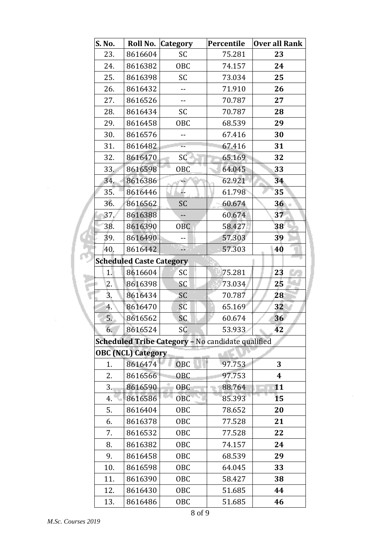| S. No. |                                 | Roll No. Category                                 | Percentile | Over all Rank    |
|--------|---------------------------------|---------------------------------------------------|------------|------------------|
| 23.    | 8616604                         | SC                                                | 75.281     | 23               |
| 24.    | 8616382                         | <b>OBC</b>                                        | 74.157     | 24               |
| 25.    | 8616398                         | SC                                                | 73.034     | 25               |
| 26.    | 8616432                         | --                                                | 71.910     | 26               |
| 27.    | 8616526                         | $- -$                                             | 70.787     | 27               |
| 28.    | 8616434                         | SC                                                | 70.787     | 28               |
| 29.    | 8616458                         | <b>OBC</b>                                        | 68.539     | 29               |
| 30.    | 8616576                         | --                                                | 67.416     | 30               |
| 31.    | 8616482                         | ц,                                                | 67.416     | 31               |
| 32.    | 8616470                         | SC                                                | 65.169     | 32               |
| 33.    | 8616598                         | <b>OBC</b>                                        | 64.045     | 33               |
| 34.    | 8616386                         |                                                   | 62.921     | 34               |
| 35.    | 8616446                         |                                                   | 61.798     | 35               |
| 36.    | 8616562                         | SC                                                | 60.674     | 36               |
| 37.    | 8616388                         | --                                                | 60.674     | 37               |
| 38.    | 8616390                         | <b>OBC</b>                                        | 58.427     | 38               |
| 39.    | 8616490                         | --                                                | 57.303     | 39               |
| 40.    | 8616442                         | υ,                                                | 57.303     | 40               |
|        | <b>Scheduled Caste Category</b> |                                                   |            |                  |
| 1.     | 8616604                         | SC                                                | 75.281     | 23               |
| 2.     | 8616398                         | SC                                                | 73.034     | 25               |
| 3.     | 8616434                         | SC                                                | 70.787     | 28               |
| 4.     | 8616470                         | SC                                                | 65.169     | 32               |
| 5.     | 8616562                         | SC                                                | 60.674     | 36               |
| 6.     | 8616524                         | SC                                                | 53.933     | 42               |
|        |                                 | Scheduled Tribe Category - No candidate qualified |            |                  |
|        | <b>OBC (NCL) Category</b>       |                                                   |            |                  |
| 1.     | 8616474                         | <b>OBC</b>                                        | 97.753     | 3                |
| 2.     | 8616566                         | 0BC                                               | 97.753     | $\boldsymbol{4}$ |
| 3.     | 8616590                         | <b>OBC</b>                                        | 88.764     | 11               |
| 4.     | 8616586                         | OBC                                               | 85.393     | 15               |
| 5.     | 8616404                         | <b>OBC</b>                                        | 78.652     | 20               |
| 6.     | 8616378                         | <b>OBC</b>                                        | 77.528     | 21               |
| 7.     | 8616532                         | <b>OBC</b>                                        | 77.528     | 22               |
| 8.     | 8616382                         | <b>OBC</b>                                        | 74.157     | 24               |
| 9.     | 8616458                         | OBC                                               | 68.539     | 29               |
| 10.    | 8616598                         | OBC                                               | 64.045     | 33               |
| 11.    | 8616390                         | OBC                                               | 58.427     | 38               |
| 12.    | 8616430                         | <b>OBC</b>                                        | 51.685     | 44               |
| 13.    | 8616486                         | OBC                                               | 51.685     | 46               |